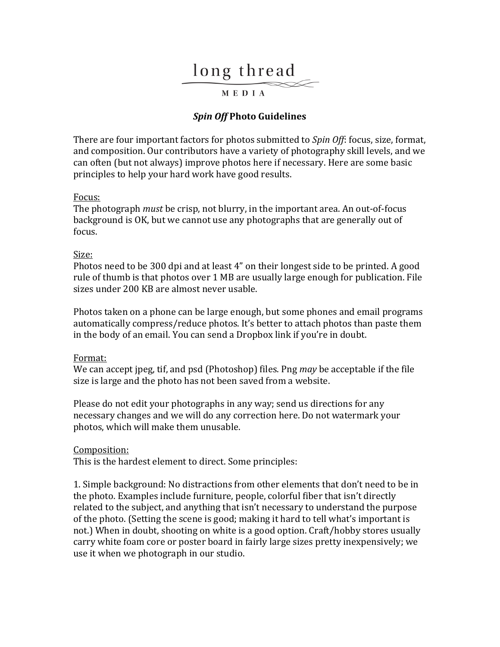# long thread

## MEDIA

## *Spin Off* **Photo Guidelines**

There are four important factors for photos submitted to *Spin Off*: focus, size, format, and composition. Our contributors have a variety of photography skill levels, and we can often (but not always) improve photos here if necessary. Here are some basic principles to help your hard work have good results.

#### Focus:

The photograph *must* be crisp, not blurry, in the important area. An out-of-focus background is OK, but we cannot use any photographs that are generally out of focus.

#### Size:

Photos need to be 300 dpi and at least 4" on their longest side to be printed. A good rule of thumb is that photos over 1 MB are usually large enough for publication. File sizes under 200 KB are almost never usable.

Photos taken on a phone can be large enough, but some phones and email programs automatically compress/reduce photos. It's better to attach photos than paste them in the body of an email. You can send a Dropbox link if you're in doubt.

### Format:

We can accept jpeg, tif, and psd (Photoshop) files. Png *may* be acceptable if the file size is large and the photo has not been saved from a website.

Please do not edit your photographs in any way; send us directions for any necessary changes and we will do any correction here. Do not watermark your photos, which will make them unusable.

#### Composition:

This is the hardest element to direct. Some principles:

1. Simple background: No distractions from other elements that don't need to be in the photo. Examples include furniture, people, colorful fiber that isn't directly related to the subject, and anything that isn't necessary to understand the purpose of the photo. (Setting the scene is good; making it hard to tell what's important is not.) When in doubt, shooting on white is a good option. Craft/hobby stores usually carry white foam core or poster board in fairly large sizes pretty inexpensively; we use it when we photograph in our studio.